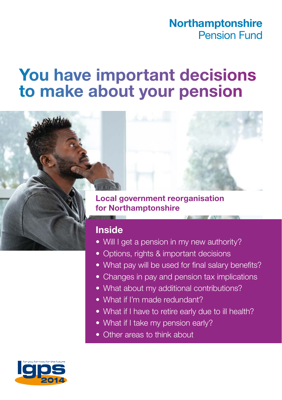### **Northamptonshire** Pension Fund

# **You have important decisions to make about your pension**

**Local government reorganisation for Northamptonshire**

### **Inside**

- Will I get a pension in my new authority?
- Options, rights & important decisions
- What pay will be used for final salary benefits?
- Changes in pay and pension tax implications
- What about my additional contributions?
- What if I'm made redundant?
- What if I have to retire early due to ill health?
- What if I take my pension early?
- Other areas to think about

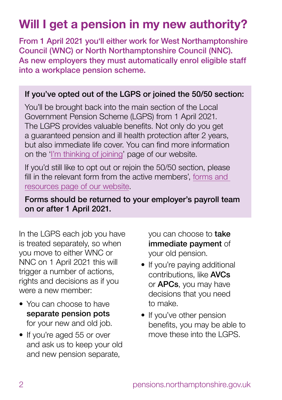# **Will I get a pension in my new authority?**

From 1 April 2021 you'll either work for West Northamptonshire Council (WNC) or North Northamptonshire Council (NNC). As new employers they must automatically enrol eligible staff into a workplace pension scheme.

#### If you've opted out of the LGPS or joined the 50/50 section:

You'll be brought back into the main section of the Local Government Pension Scheme (LGPS) from 1 April 2021. The LGPS provides valuable benefits. Not only do you get a guaranteed pension and ill health protection after 2 years, but also immediate life cover. You can find more information on the ['I'm thinking of joining'](https://lgssmember.pensiondetails.co.uk/home/non-member/lgps/index.html) page of our website.

If you'd still like to opt out or rejoin the 50/50 section, please fill in the relevant form from the active members', [forms and](https://lgssmember.pensiondetails.co.uk/home/members/lgps/active-members/forms-and-resources/index.html)  [resources page of our website](https://lgssmember.pensiondetails.co.uk/home/members/lgps/active-members/forms-and-resources/index.html).

#### Forms should be returned to your employer's payroll team on or after 1 April 2021.

In the LGPS each job you have is treated separately, so when you move to either WNC or NNC on 1 April 2021 this will trigger a number of actions, rights and decisions as if you were a new member:

- You can choose to have separate pension pots for your new and old job.
- If you're aged 55 or over and ask us to keep your old and new pension separate,

you can choose to **take** immediate payment of your old pension.

- If you're paying additional contributions, like AVCs or APCs, you may have decisions that you need to make.
- If you've other pension benefits, you may be able to move these into the LGPS.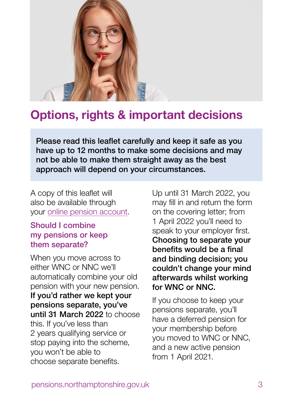

### **Options, rights & important decisions**

Please read this leaflet carefully and keep it safe as you have up to 12 months to make some decisions and may not be able to make them straight away as the best approach will depend on your circumstances.

A copy of this leaflet will also be available through your [online pension account](https://lgssmember.pensiondetails.co.uk/home/login/index2.html).

#### Should I combine my pensions or keep them separate?

When you move across to either WNC or NNC we'll automatically combine your old pension with your new pension. If you'd rather we kept your pensions separate, you've until 31 March 2022 to choose this. If you've less than 2 years qualifying service or stop paying into the scheme, you won't be able to choose separate benefits.

Up until 31 March 2022, you may fill in and return the form on the covering letter; from 1 April 2022 you'll need to speak to your employer first. Choosing to separate your benefits would be a final and binding decision; you couldn't change your mind afterwards whilst working for WNC or NNC.

If you choose to keep your pensions separate, you'll have a deferred pension for your membership before you moved to WNC or NNC, and a new active pension from 1 April 2021.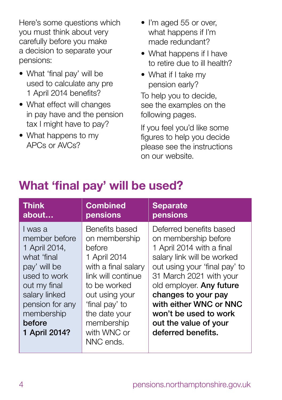Here's some questions which you must think about very carefully before you make a decision to separate your pensions:

- What 'final pay' will be used to calculate any pre 1 April 2014 benefits?
- What effect will changes in pay have and the pension tax I might have to pay?
- What happens to my APCs or AVCs?
- I'm aged 55 or over. what happens if I'm made redundant?
- What happens if I have to retire due to ill health?
- What if I take my pension early?

To help you to decide, see the examples on the following pages.

If you feel you'd like some figures to help you decide please see the instructions on our website.

### **What 'final pay' will be used?**

| <b>Think</b>                                                                                                                                                                          | <b>Combined</b>                                                                                                                                                                                                       | <b>Separate</b>                                                                                                                                                                                                                                                                                                             |
|---------------------------------------------------------------------------------------------------------------------------------------------------------------------------------------|-----------------------------------------------------------------------------------------------------------------------------------------------------------------------------------------------------------------------|-----------------------------------------------------------------------------------------------------------------------------------------------------------------------------------------------------------------------------------------------------------------------------------------------------------------------------|
| about                                                                                                                                                                                 | pensions                                                                                                                                                                                                              | pensions                                                                                                                                                                                                                                                                                                                    |
| I was a<br>member before<br>1 April 2014,<br>what 'final<br>pay' will be<br>used to work<br>out my final<br>salary linked<br>pension for any<br>membership<br>before<br>1 April 2014? | Benefits based<br>on membership<br>before<br>1 April 2014<br>with a final salary<br>link will continue<br>to be worked<br>out using your<br>'final pay' to<br>the date your<br>membership<br>with WNC or<br>NNC ends. | Deferred benefits based<br>on membership before<br>1 April 2014 with a final<br>salary link will be worked<br>out using your 'final pay' to<br>31 March 2021 with your<br>old employer. Any future<br>changes to your pay<br>with either WNC or NNC<br>won't be used to work<br>out the value of your<br>deferred benefits. |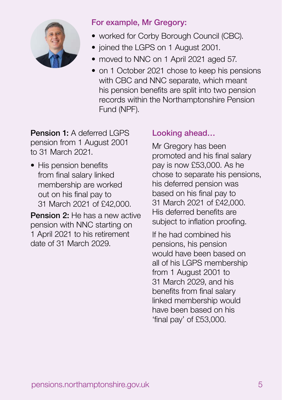

#### For example, Mr Gregory:

- worked for Corby Borough Council (CBC).
- joined the LGPS on 1 August 2001.
- moved to NNC on 1 April 2021 aged 57.
- on 1 October 2021 chose to keep his pensions with CBC and NNC separate, which meant his pension benefits are split into two pension records within the Northamptonshire Pension Fund (NPF).

**Pension 1:** A deferred LGPS pension from 1 August 2001 to 31 March 2021.

• His pension benefits from final salary linked membership are worked out on his final pay to 31 March 2021 of £42,000.

Pension 2: He has a new active pension with NNC starting on 1 April 2021 to his retirement date of 31 March 2029.

### Looking ahead…

Mr Gregory has been promoted and his final salary pay is now £53,000. As he chose to separate his pensions, his deferred pension was based on his final pay to 31 March 2021 of £42,000. His deferred benefits are subject to inflation proofing.

If he had combined his pensions, his pension would have been based on all of his LGPS membership from 1 August 2001 to 31 March 2029, and his benefits from final salary linked membership would have been based on his 'final pay' of £53,000.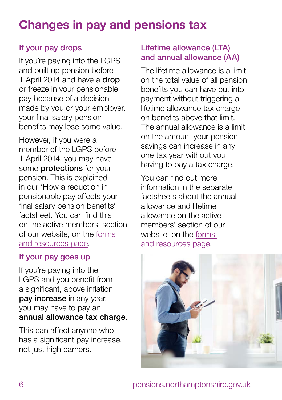# **Changes in pay and pensions tax**

### If your pay drops

If you're paying into the LGPS and built up pension before 1 April 2014 and have a **drop** or freeze in your pensionable pay because of a decision made by you or your employer, your final salary pension benefits may lose some value.

However, if you were a member of the LGPS before 1 April 2014, you may have some **protections** for your pension. This is explained in our 'How a reduction in pensionable pay affects your final salary pension benefits' factsheet. You can find this on the active members' section of our website, on the [forms](https://lgssmember.pensiondetails.co.uk/home/members/lgps/active-members/forms-and-resources/index.html)  [and resources page.](https://lgssmember.pensiondetails.co.uk/home/members/lgps/active-members/forms-and-resources/index.html)

#### If your pay goes up

If you're paying into the LGPS and you benefit from a significant, above inflation pay increase in any year, you may have to pay an annual allowance tax charge.

This can affect anyone who has a significant pay increase, not just high earners.

#### Lifetime allowance (LTA) and annual allowance (AA)

The lifetime allowance is a limit on the total value of all pension benefits you can have put into payment without triggering a lifetime allowance tax charge on benefits above that limit. The annual allowance is a limit on the amount your pension savings can increase in any one tax year without you having to pay a tax charge.

You can find out more information in the separate factsheets about the annual allowance and lifetime allowance on the active members' section of our website, on the [forms](https://lgssmember.pensiondetails.co.uk/home/members/lgps/active-members/forms-and-resources/index.html)  [and resources page](https://lgssmember.pensiondetails.co.uk/home/members/lgps/active-members/forms-and-resources/index.html).

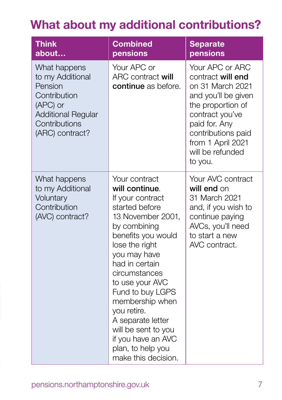# **What about my additional contributions?**

| <b>Think</b><br>about                                                                                                                    | <b>Combined</b><br>pensions                                                                                                                                                                                                                                                                                                                                                                  | <b>Separate</b><br>pensions                                                                                                                                                                                        |
|------------------------------------------------------------------------------------------------------------------------------------------|----------------------------------------------------------------------------------------------------------------------------------------------------------------------------------------------------------------------------------------------------------------------------------------------------------------------------------------------------------------------------------------------|--------------------------------------------------------------------------------------------------------------------------------------------------------------------------------------------------------------------|
| What happens<br>to my Additional<br>Pension<br>Contribution<br>(APC) or<br><b>Additional Regular</b><br>Contributions<br>(ARC) contract? | Your APC or<br>ARC contract will<br>continue as before.                                                                                                                                                                                                                                                                                                                                      | Your APC or ARC<br>contract will end<br>on 31 March 2021<br>and you'll be given<br>the proportion of<br>contract you've<br>paid for. Any<br>contributions paid<br>from 1 April 2021<br>will be refunded<br>to you. |
| What happens<br>to my Additional<br>Voluntary<br>Contribution<br>(AVC) contract?                                                         | Your contract<br>will continue.<br>If your contract<br>started before<br>13 November 2001,<br>by combining<br>benefits you would<br>lose the right<br>you may have<br>had in certain<br>circumstances<br>to use your AVC<br>Fund to buy LGPS<br>membership when<br>you retire.<br>A separate letter<br>will be sent to you<br>if you have an AVC<br>plan, to help you<br>make this decision. | Your AVC contract<br>will end on<br>31 March 2021<br>and, if you wish to<br>continue paying<br>AVCs, you'll need<br>to start a new<br>AVC contract.                                                                |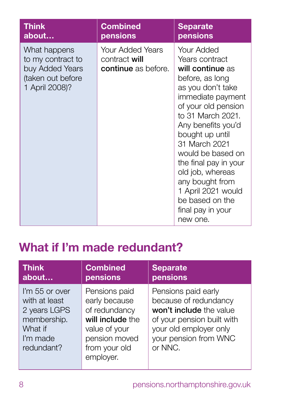| <b>Think</b>                                                                                | <b>Combined</b>                                                        | <b>Separate</b>                                                                                                                                                                                                                                                                                                                                                                    |
|---------------------------------------------------------------------------------------------|------------------------------------------------------------------------|------------------------------------------------------------------------------------------------------------------------------------------------------------------------------------------------------------------------------------------------------------------------------------------------------------------------------------------------------------------------------------|
| about                                                                                       | pensions                                                               | pensions                                                                                                                                                                                                                                                                                                                                                                           |
| What happens<br>to my contract to<br>buy Added Years<br>(taken out before<br>1 April 2008)? | <b>Your Added Years</b><br>contract will<br><b>continue</b> as before. | Your Added<br>Years contract<br>will continue as<br>before, as long<br>as you don't take<br>immediate payment<br>of your old pension<br>to 31 March 2021.<br>Any benefits you'd<br>bought up until<br>31 March 2021<br>would be based on<br>the final pay in your<br>old job, whereas<br>any bought from<br>1 April 2021 would<br>be based on the<br>final pay in your<br>new one. |

## **What if I'm made redundant?**

| <b>Think</b>                                                                                        | <b>Combined</b>                                                                                                                     | <b>Separate</b>                                                                                                                                                     |
|-----------------------------------------------------------------------------------------------------|-------------------------------------------------------------------------------------------------------------------------------------|---------------------------------------------------------------------------------------------------------------------------------------------------------------------|
| about                                                                                               | pensions                                                                                                                            | pensions                                                                                                                                                            |
| I'm 55 or over<br>with at least<br>2 years LGPS<br>membership.<br>What if<br>I'm made<br>redundant? | Pensions paid<br>early because<br>of redundancy<br>will include the<br>value of your<br>pension moved<br>from your old<br>employer. | Pensions paid early<br>because of redundancy<br>won't include the value<br>of your pension built with<br>your old employer only<br>your pension from WNC<br>or NNC. |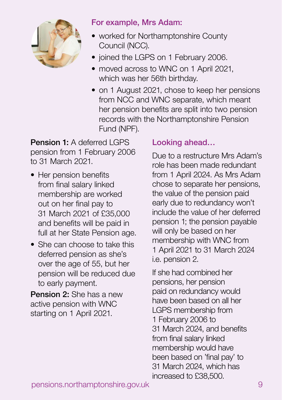

#### For example, Mrs Adam:

- worked for Northamptonshire County Council (NCC).
- joined the LGPS on 1 February 2006.
- moved across to WNC on 1 April 2021. which was her 56th birthday.
- on 1 August 2021, chose to keep her pensions from NCC and WNC separate, which meant her pension benefits are split into two pension records with the Northamptonshire Pension Fund (NPF).

Pension 1: A deferred LGPS pension from 1 February 2006 to 31 March 2021.

- Her pension benefits from final salary linked membership are worked out on her final pay to 31 March 2021 of £35,000 and benefits will be paid in full at her State Pension age.
- She can choose to take this deferred pension as she's over the age of 55, but her pension will be reduced due to early payment.

Pension 2: She has a new active pension with WNC starting on 1 April 2021.

### Looking ahead…

Due to a restructure Mrs Adam's role has been made redundant from 1 April 2024. As Mrs Adam chose to separate her pensions, the value of the pension paid early due to redundancy won't include the value of her deferred pension 1; the pension payable will only be based on her membership with WNC from 1 April 2021 to 31 March 2024 i.e. pension 2.

If she had combined her pensions, her pension paid on redundancy would have been based on all her LGPS membership from 1 February 2006 to 31 March 2024, and benefits from final salary linked membership would have been based on 'final pay' to 31 March 2024, which has increased to £38,500.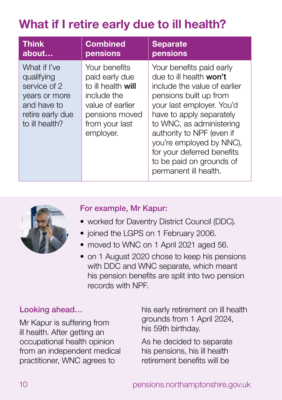# **What if I retire early due to ill health?**

| <b>Think</b>                                                                                                     | <b>Combined</b>                                                                                                                           | <b>Separate</b>                                                                                                                                                                                                                                                                                                                                |
|------------------------------------------------------------------------------------------------------------------|-------------------------------------------------------------------------------------------------------------------------------------------|------------------------------------------------------------------------------------------------------------------------------------------------------------------------------------------------------------------------------------------------------------------------------------------------------------------------------------------------|
| about                                                                                                            | pensions                                                                                                                                  | pensions                                                                                                                                                                                                                                                                                                                                       |
| What if I've<br>qualifying<br>service of 2<br>years or more<br>and have to<br>retire early due<br>to ill health? | Your benefits<br>paid early due<br>to ill health will<br>include the<br>value of earlier<br>pensions moved<br>from your last<br>employer. | Your benefits paid early<br>due to ill health won't<br>include the value of earlier<br>pensions built up from<br>your last employer. You'd<br>have to apply separately<br>to WNC, as administering<br>authority to NPF (even if<br>you're employed by NNC),<br>for your deferred benefits<br>to be paid on grounds of<br>permanent ill health. |



### For example, Mr Kapur:

- worked for Daventry District Council (DDC).
- joined the LGPS on 1 February 2006.
- moved to WNC on 1 April 2021 aged 56.
- on 1 August 2020 chose to keep his pensions with DDC and WNC separate, which meant his pension benefits are split into two pension records with NPF.

### Looking ahead…

Mr Kapur is suffering from ill health. After getting an occupational health opinion from an independent medical practitioner, WNC agrees to

his early retirement on ill health grounds from 1 April 2024, his 59th birthday.

As he decided to separate his pensions, his ill health retirement benefits will be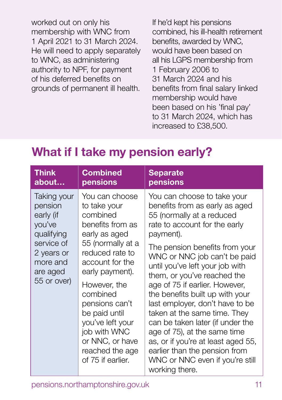worked out on only his membership with WNC from 1 April 2021 to 31 March 2024. He will need to apply separately to WNC, as administering authority to NPF, for payment of his deferred benefits on grounds of permanent ill health.

If he'd kept his pensions combined, his ill-health retirement benefits, awarded by WNC, would have been based on all his LGPS membership from 1 February 2006 to 31 March 2024 and his benefits from final salary linked membership would have been based on his 'final pay' to 31 March 2024, which has increased to £38,500.

### **What if I take my pension early?**

| <b>Think</b>                                                                                                                   | <b>Combined</b>                                                                                                                                                                                                                                                                                                             | <b>Separate</b>                                                                                                                                                                                                                                                                                                                                                                                                                                                                                                                                                                                                      |
|--------------------------------------------------------------------------------------------------------------------------------|-----------------------------------------------------------------------------------------------------------------------------------------------------------------------------------------------------------------------------------------------------------------------------------------------------------------------------|----------------------------------------------------------------------------------------------------------------------------------------------------------------------------------------------------------------------------------------------------------------------------------------------------------------------------------------------------------------------------------------------------------------------------------------------------------------------------------------------------------------------------------------------------------------------------------------------------------------------|
| about                                                                                                                          | pensions                                                                                                                                                                                                                                                                                                                    | pensions                                                                                                                                                                                                                                                                                                                                                                                                                                                                                                                                                                                                             |
| Taking your<br>pension<br>early (if<br>you've<br>qualifying<br>service of<br>2 years or<br>more and<br>are aged<br>55 or over) | You can choose<br>to take your<br>combined<br>benefits from as<br>early as aged<br>55 (normally at a<br>reduced rate to<br>account for the<br>early payment).<br>However, the<br>combined<br>pensions can't<br>be paid until<br>you've left your<br>job with WNC<br>or NNC, or have<br>reached the age<br>of 75 if earlier. | You can choose to take your<br>benefits from as early as aged<br>55 (normally at a reduced<br>rate to account for the early<br>payment).<br>The pension benefits from your<br>WNC or NNC job can't be paid<br>until you've left your job with<br>them, or you've reached the<br>age of 75 if earlier. However,<br>the benefits built up with your<br>last employer, don't have to be<br>taken at the same time. They<br>can be taken later (if under the<br>age of 75), at the same time<br>as, or if you're at least aged 55,<br>earlier than the pension from<br>WNC or NNC even if you're still<br>working there. |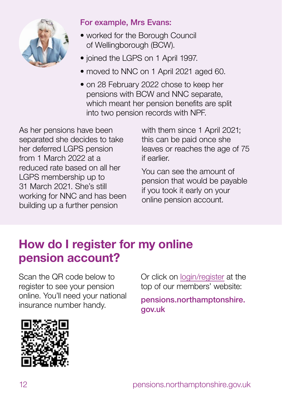

#### For example, Mrs Evans:

- worked for the Borough Council of Wellingborough (BCW).
- joined the LGPS on 1 April 1997.
- moved to NNC on 1 April 2021 aged 60.
- on 28 February 2022 chose to keep her pensions with BCW and NNC separate, which meant her pension benefits are split into two pension records with NPF.

As her pensions have been separated she decides to take her deferred LGPS pension from 1 March 2022 at a reduced rate based on all her LGPS membership up to 31 March 2021. She's still working for NNC and has been building up a further pension

with them since 1 April 2021; this can be paid once she leaves or reaches the age of 75 if earlier.

You can see the amount of pension that would be payable if you took it early on your online pension account.

# **How do I register for my online pension account?**

Scan the QR code below to register to see your pension online. You'll need your national insurance number handy.

Or click on [login/register](https://lgssmember.pensiondetails.co.uk/home/login/index2.html) at the top of our members' website:

[pensions.northamptonshire.](http://pensions.northamptonshire.gov.uk) [gov.uk](http://pensions.northamptonshire.gov.uk)

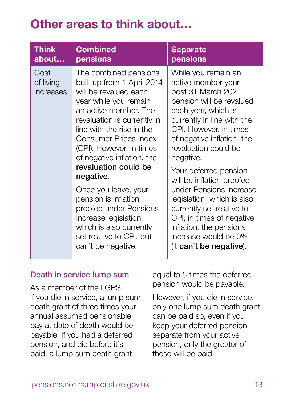### **Other areas to think about…**

| <b>Think</b>                   | <b>Combined</b>                                                                                                                                                                                                                                                                                                                                                                                                                                                                                           | <b>Separate</b>                                                                                                                                                                                                                                                                                                                                                                                                                                                                                      |
|--------------------------------|-----------------------------------------------------------------------------------------------------------------------------------------------------------------------------------------------------------------------------------------------------------------------------------------------------------------------------------------------------------------------------------------------------------------------------------------------------------------------------------------------------------|------------------------------------------------------------------------------------------------------------------------------------------------------------------------------------------------------------------------------------------------------------------------------------------------------------------------------------------------------------------------------------------------------------------------------------------------------------------------------------------------------|
| about                          | pensions                                                                                                                                                                                                                                                                                                                                                                                                                                                                                                  | pensions                                                                                                                                                                                                                                                                                                                                                                                                                                                                                             |
| Cost<br>of living<br>increases | The combined pensions<br>built up from 1 April 2014<br>will be revalued each<br>year while you remain<br>an active member. The<br>revaluation is currently in<br>line with the rise in the<br><b>Consumer Prices Index</b><br>(CPI). However, in times<br>of negative inflation, the<br>revaluation could be<br>negative.<br>Once you leave, your<br>pension is inflation<br>proofed under Pensions<br>Increase legislation,<br>which is also currently<br>set relative to CPI, but<br>can't be negative. | While you remain an<br>active member your<br>post 31 March 2021<br>pension will be revalued<br>each year, which is<br>currently in line with the<br>CPI. However, in times<br>of negative inflation, the<br>revaluation could be<br>negative.<br>Your deferred pension<br>will be inflation proofed<br>under Pensions Increase<br>legislation, which is also<br>currently set relative to<br>CPI; in times of negative<br>inflation, the pensions<br>increase would be 0%<br>(it can't be negative). |

#### Death in service lump sum

As a member of the LGPS, if you die in service, a lump sum death grant of three times your annual assumed pensionable pay at date of death would be payable. If you had a deferred pension, and die before it's paid, a lump sum death grant

equal to 5 times the deferred pension would be payable.

However, if you die in service, only one lump sum death grant can be paid so, even if you keep your deferred pension separate from your active pension, only the greater of these will be paid.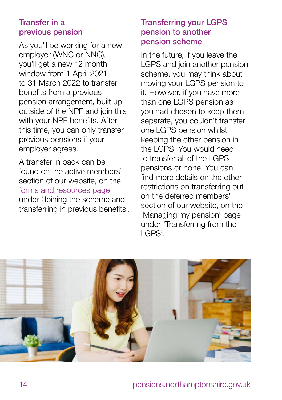#### Transfer in a previous pension

As you'll be working for a new employer (WNC or NNC), you'll get a new 12 month window from 1 April 2021 to 31 March 2022 to transfer benefits from a previous pension arrangement, built up outside of the NPF and join this with your NPF benefits. After this time, you can only transfer previous pensions if your employer agrees.

A transfer in pack can be found on the active members' section of our website, on the [forms and resources page](https://lgssmember.pensiondetails.co.uk/home/members/lgps/active-members/forms-and-resources/index.html) under 'Joining the scheme and transferring in previous benefits'.

#### Transferring your LGPS pension to another pension scheme

In the future, if you leave the LGPS and join another pension scheme, you may think about moving your LGPS pension to it. However, if you have more than one LGPS pension as you had chosen to keep them separate, you couldn't transfer one LGPS pension whilst keeping the other pension in the LGPS. You would need to transfer all of the LGPS pensions or none. You can find more details on the other restrictions on transferring out on the deferred members' section of our website, on the 'Managing my pension' page under 'Transferring from the LGPS'.

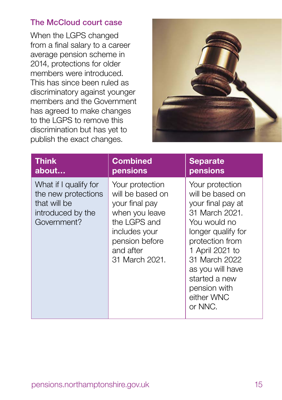### The McCloud court case

When the LGPS changed from a final salary to a career average pension scheme in 2014, protections for older members were introduced. This has since been ruled as discriminatory against younger members and the Government has agreed to make changes to the LGPS to remove this discrimination but has yet to publish the exact changes.



| <b>Think</b>                                                                                     | <b>Combined</b>                                                                                                                                           | <b>Separate</b>                                                                                                                                                                                                                                       |
|--------------------------------------------------------------------------------------------------|-----------------------------------------------------------------------------------------------------------------------------------------------------------|-------------------------------------------------------------------------------------------------------------------------------------------------------------------------------------------------------------------------------------------------------|
| about                                                                                            | pensions                                                                                                                                                  | pensions                                                                                                                                                                                                                                              |
| What if I qualify for<br>the new protections<br>that will be<br>introduced by the<br>Government? | Your protection<br>will be based on<br>your final pay<br>when you leave<br>the LGPS and<br>includes your<br>pension before<br>and after<br>31 March 2021. | Your protection<br>will be based on<br>your final pay at<br>31 March 2021.<br>You would no<br>longer qualify for<br>protection from<br>1 April 2021 to<br>31 March 2022<br>as you will have<br>started a new<br>pension with<br>either WNC<br>or NNC. |